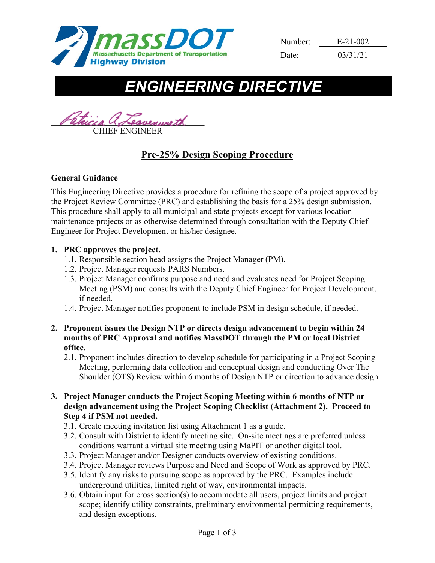

| Number: | $E-21-002$ |  |  |
|---------|------------|--|--|
| Date:   | 03/31/21   |  |  |

# *ENGINEERING DIRECTIVE*

Patrici CHIEF ENGINEER

## **Pre-25% Design Scoping Procedure**

## **General Guidance**

This Engineering Directive provides a procedure for refining the scope of a project approved by the Project Review Committee (PRC) and establishing the basis for a 25% design submission. This procedure shall apply to all municipal and state projects except for various location maintenance projects or as otherwise determined through consultation with the Deputy Chief Engineer for Project Development or his/her designee.

## **1. PRC approves the project.**

- 1.1. Responsible section head assigns the Project Manager (PM).
- 1.2. Project Manager requests PARS Numbers.
- 1.3. Project Manager confirms purpose and need and evaluates need for Project Scoping Meeting (PSM) and consults with the Deputy Chief Engineer for Project Development, if needed.
- 1.4. Project Manager notifies proponent to include PSM in design schedule, if needed.
- **2. Proponent issues the Design NTP or directs design advancement to begin within 24 months of PRC Approval and notifies MassDOT through the PM or local District office.**
	- 2.1. Proponent includes direction to develop schedule for participating in a Project Scoping Meeting, performing data collection and conceptual design and conducting Over The Shoulder (OTS) Review within 6 months of Design NTP or direction to advance design.
- **3. Project Manager conducts the Project Scoping Meeting within 6 months of NTP or design advancement using the Project Scoping Checklist (Attachment 2). Proceed to Step 4 if PSM not needed.**
	- 3.1. Create meeting invitation list using Attachment 1 as a guide.
	- 3.2. Consult with District to identify meeting site. On-site meetings are preferred unless conditions warrant a virtual site meeting using MaPIT or another digital tool.
	- 3.3. Project Manager and/or Designer conducts overview of existing conditions.
	- 3.4. Project Manager reviews Purpose and Need and Scope of Work as approved by PRC.
	- 3.5. Identify any risks to pursuing scope as approved by the PRC. Examples include underground utilities, limited right of way, environmental impacts.
	- 3.6. Obtain input for cross section(s) to accommodate all users, project limits and project scope; identify utility constraints, preliminary environmental permitting requirements, and design exceptions.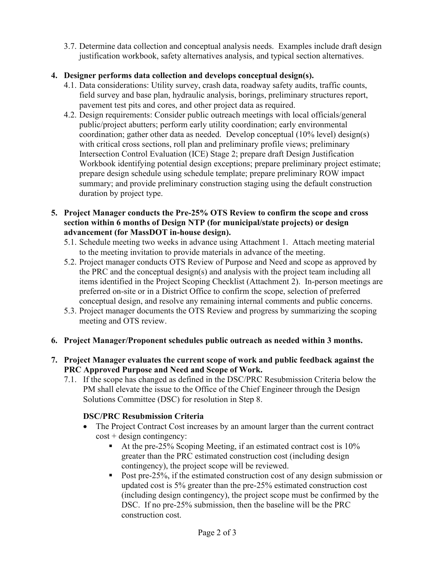3.7. Determine data collection and conceptual analysis needs. Examples include draft design justification workbook, safety alternatives analysis, and typical section alternatives.

## **4. Designer performs data collection and develops conceptual design(s).**

- 4.1. Data considerations: Utility survey, crash data, roadway safety audits, traffic counts, field survey and base plan, hydraulic analysis, borings, preliminary structures report, pavement test pits and cores, and other project data as required.
- 4.2. Design requirements: Consider public outreach meetings with local officials/general public/project abutters; perform early utility coordination; early environmental coordination; gather other data as needed. Develop conceptual (10% level) design(s) with critical cross sections, roll plan and preliminary profile views; preliminary Intersection Control Evaluation (ICE) Stage 2; prepare draft Design Justification Workbook identifying potential design exceptions; prepare preliminary project estimate; prepare design schedule using schedule template; prepare preliminary ROW impact summary; and provide preliminary construction staging using the default construction duration by project type.
- **5. Project Manager conducts the Pre-25% OTS Review to confirm the scope and cross section within 6 months of Design NTP (for municipal/state projects) or design advancement (for MassDOT in-house design).**
	- 5.1. Schedule meeting two weeks in advance using Attachment 1. Attach meeting material to the meeting invitation to provide materials in advance of the meeting.
	- 5.2. Project manager conducts OTS Review of Purpose and Need and scope as approved by the PRC and the conceptual design(s) and analysis with the project team including all items identified in the Project Scoping Checklist (Attachment 2). In-person meetings are preferred on-site or in a District Office to confirm the scope, selection of preferred conceptual design, and resolve any remaining internal comments and public concerns.
	- 5.3. Project manager documents the OTS Review and progress by summarizing the scoping meeting and OTS review.

## **6. Project Manager/Proponent schedules public outreach as needed within 3 months.**

## **7. Project Manager evaluates the current scope of work and public feedback against the PRC Approved Purpose and Need and Scope of Work.**

7.1. If the scope has changed as defined in the DSC/PRC Resubmission Criteria below the PM shall elevate the issue to the Office of the Chief Engineer through the Design Solutions Committee (DSC) for resolution in Step 8.

## **DSC/PRC Resubmission Criteria**

- The Project Contract Cost increases by an amount larger than the current contract  $cost + design contingency:$ 
	- At the pre-25% Scoping Meeting, if an estimated contract cost is  $10\%$ greater than the PRC estimated construction cost (including design contingency), the project scope will be reviewed.
	- Post pre-25%, if the estimated construction cost of any design submission or updated cost is 5% greater than the pre-25% estimated construction cost (including design contingency), the project scope must be confirmed by the DSC. If no pre-25% submission, then the baseline will be the PRC construction cost.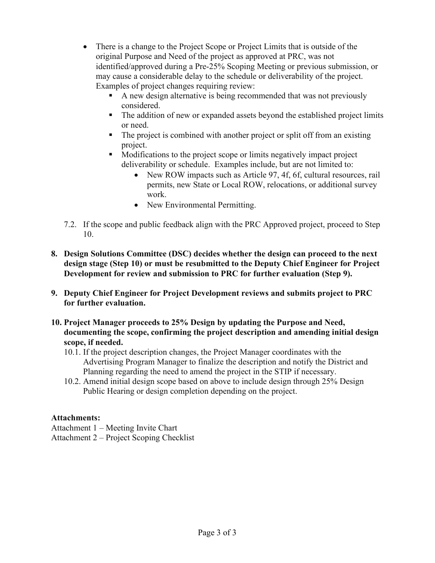- There is a change to the Project Scope or Project Limits that is outside of the original Purpose and Need of the project as approved at PRC, was not identified/approved during a Pre-25% Scoping Meeting or previous submission, or may cause a considerable delay to the schedule or deliverability of the project. Examples of project changes requiring review:
	- A new design alternative is being recommended that was not previously considered.
	- The addition of new or expanded assets beyond the established project limits or need.
	- The project is combined with another project or split off from an existing project.
	- Modifications to the project scope or limits negatively impact project deliverability or schedule. Examples include, but are not limited to:
		- New ROW impacts such as Article 97, 4f, 6f, cultural resources, rail permits, new State or Local ROW, relocations, or additional survey work.
		- New Environmental Permitting.
- 7.2. If the scope and public feedback align with the PRC Approved project, proceed to Step 10.
- **8. Design Solutions Committee (DSC) decides whether the design can proceed to the next design stage (Step 10) or must be resubmitted to the Deputy Chief Engineer for Project Development for review and submission to PRC for further evaluation (Step 9).**
- **9. Deputy Chief Engineer for Project Development reviews and submits project to PRC for further evaluation.**
- **10. Project Manager proceeds to 25% Design by updating the Purpose and Need, documenting the scope, confirming the project description and amending initial design scope, if needed.**
	- 10.1. If the project description changes, the Project Manager coordinates with the Advertising Program Manager to finalize the description and notify the District and Planning regarding the need to amend the project in the STIP if necessary.
	- 10.2. Amend initial design scope based on above to include design through 25% Design Public Hearing or design completion depending on the project.

## **Attachments:**

Attachment 1 – Meeting Invite Chart

Attachment 2 – Project Scoping Checklist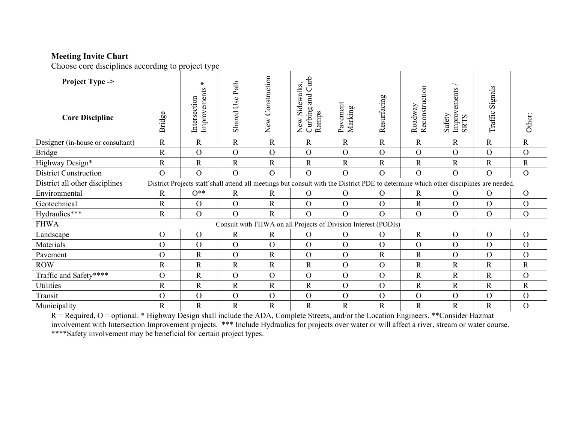## **Meeting Invite Chart**

Choose core disciplines according to project type

| choose core alsofphines according to project type<br><b>Project Type -&gt;</b><br><b>Core Discipline</b> | Bridge                                                                                                                               | $\ast$<br>Improvements<br>Intersection                         | Shared Use Path | Construction<br>New | and Curb<br>Sidewalks,<br>New Side<br>Curbing<br>Ramps | Pavement<br>Marking | Resurfacing    | Reconstruction<br>Roadway | $\mbox{Improvements}\,/\,$ SRTS<br>Safety | Signals<br>Traffic | Other:         |
|----------------------------------------------------------------------------------------------------------|--------------------------------------------------------------------------------------------------------------------------------------|----------------------------------------------------------------|-----------------|---------------------|--------------------------------------------------------|---------------------|----------------|---------------------------|-------------------------------------------|--------------------|----------------|
|                                                                                                          |                                                                                                                                      |                                                                |                 |                     |                                                        |                     |                |                           |                                           |                    |                |
| Designer (in-house or consultant)                                                                        | $\mathbf R$                                                                                                                          | $\mathbf R$                                                    | $\mathbf R$     | $\mathbf R$         | $\mathbf R$                                            | $\mathbf R$         | $\mathbf R$    | $\mathbf R$               | $\mathbf R$                               | $\mathbf R$        | $\mathbf R$    |
| <b>Bridge</b>                                                                                            | $\mathbf R$                                                                                                                          | $\overline{O}$                                                 | $\mathcal{O}$   | $\overline{O}$      | $\overline{O}$                                         | $\mathcal{O}$       | $\overline{O}$ | $\mathcal{O}$             | $\overline{O}$                            | $\overline{O}$     | $\mathcal{O}$  |
| Highway Design*                                                                                          | $\mathbf R$                                                                                                                          | $\mathbf R$                                                    | $\mathbf R$     | $\mathbf R$         | $\mathbf R$                                            | ${\bf R}$           | $\mathbf R$    | $\mathbf R$               | $\mathbf R$                               | ${\bf R}$          | ${\bf R}$      |
| <b>District Construction</b>                                                                             | $\overline{O}$                                                                                                                       | $\overline{O}$                                                 | $\overline{O}$  | $\Omega$            | $\overline{O}$                                         | $\mathcal{O}$       | $\overline{O}$ | $\overline{O}$            | $\overline{O}$                            | $\overline{O}$     | $\mathbf{O}$   |
| District all other disciplines                                                                           | District Projects staff shall attend all meetings but consult with the District PDE to determine which other disciplines are needed. |                                                                |                 |                     |                                                        |                     |                |                           |                                           |                    |                |
| Environmental                                                                                            | $\mathbf R$                                                                                                                          | $O^{\ast\ast}$                                                 | $\mathbf R$     | $\mathbf R$         | $\overline{O}$                                         | $\mathbf{O}$        | $\overline{O}$ | $\mathbf R$               | $\overline{O}$                            | $\overline{O}$     | $\overline{O}$ |
| Geotechnical                                                                                             | $\mathbf R$                                                                                                                          | $\overline{O}$                                                 | $\overline{O}$  | $\mathbf R$         | $\overline{O}$                                         | $\overline{O}$      | $\overline{O}$ | $\mathbf R$               | $\overline{O}$                            | $\mathcal{O}$      | $\mathcal{O}$  |
| Hydraulics***                                                                                            | $\mathbf R$                                                                                                                          | $\overline{O}$                                                 | $\overline{O}$  | $\mathbf R$         | $\overline{O}$                                         | $\overline{O}$      | $\overline{O}$ | $\overline{O}$            | $\overline{O}$                            | $\mathcal{O}$      | $\mathcal{O}$  |
| <b>FHWA</b>                                                                                              |                                                                                                                                      | Consult with FHWA on all Projects of Division Interest (PODIs) |                 |                     |                                                        |                     |                |                           |                                           |                    |                |
| Landscape                                                                                                | $\mathcal{O}$                                                                                                                        | $\mathcal{O}$                                                  | $\mathbf R$     | $\mathbf R$         | $\mathcal{O}$                                          | $\mathbf{O}$        | $\overline{O}$ | $\mathbf R$               | $\overline{O}$                            | $\mathcal{O}$      | $\mathcal{O}$  |
| Materials                                                                                                | $\overline{O}$                                                                                                                       | $\mathcal{O}$                                                  | $\mathcal{O}$   | $\overline{O}$      | $\overline{O}$                                         | $\mathcal{O}$       | $\mathbf{O}$   | $\mathcal{O}$             | $\overline{O}$                            | $\mathcal{O}$      | $\mathbf{O}$   |
| Pavement                                                                                                 | $\overline{O}$                                                                                                                       | $\mathbf R$                                                    | $\mathcal{O}$   | $\mathbf R$         | $\overline{O}$                                         | $\mathcal{O}$       | $\mathbf R$    | $\mathbf R$               | $\Omega$                                  | $\mathcal{O}$      | $\mathcal{O}$  |
| <b>ROW</b>                                                                                               | $\mathbf R$                                                                                                                          | $\mathbf R$                                                    | $\mathbf R$     | $\mathbf R$         | $\mathbf R$                                            | $\mathcal{O}$       | $\overline{O}$ | $\mathbf R$               | $\mathbf R$                               | $\mathbf R$        | $\mathbf R$    |
| Traffic and Safety****                                                                                   | $\overline{O}$                                                                                                                       | $\mathbf R$                                                    | $\mathcal{O}$   | $\overline{O}$      | $\mathcal{O}$                                          | $\overline{O}$      | $\overline{O}$ | $\mathbf R$               | $\mathbb{R}$                              | $\mathbf R$        | $\mathbf{O}$   |
| Utilities                                                                                                | $\mathbf R$                                                                                                                          | $\mathbf R$                                                    | $\mathbb{R}$    | $\mathbf R$         | R                                                      | $\mathcal{O}$       | $\mathbf{O}$   | $\mathbf R$               | $\mathbb{R}$                              | $\mathbf R$        | $\mathbf R$    |
| Transit                                                                                                  | $\overline{O}$                                                                                                                       | $\mathcal{O}$                                                  | $\mathcal{O}$   | $\overline{O}$      | $\mathbf{O}$                                           | $\mathbf{O}$        | $\overline{O}$ | $\mathbf{O}$              | $\overline{O}$                            | $\mathcal{O}$      | $\mathbf O$    |
| Municipality                                                                                             | $\mathbf R$                                                                                                                          | ${\bf R}$                                                      | $\mathbf R$     | ${\bf R}$           | $\mathbf R$                                            | ${\bf R}$           | $\mathbf R$    | $\mathbf R$               | $\mathbf R$                               | $\mathbf R$        | $\mathbf{O}$   |

R = Required, O = optional. \* Highway Design shall include the ADA, Complete Streets, and/or the Location Engineers. \*\*Consider Hazmat involvement with Intersection Improvement projects. \*\*\* Include Hydraulics for projects over water or will affect a river, stream or water course. \*\*\*\*Safety involvement may be beneficial for certain project types.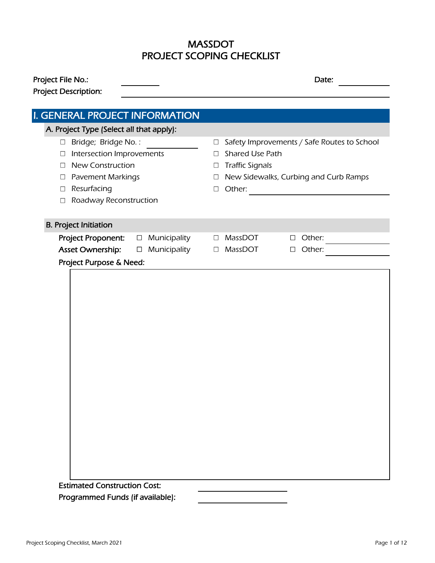## PROJECT SCOPING CHECKLIST MASSDOT

| Project File No.:                            | Date:                                                                     |  |  |  |
|----------------------------------------------|---------------------------------------------------------------------------|--|--|--|
| Project Description:                         |                                                                           |  |  |  |
| I. GENERAL PROJECT INFORMATION               |                                                                           |  |  |  |
| A. Project Type (Select all that apply):     |                                                                           |  |  |  |
| Bridge; Bridge No.:<br>$\Box$                | Safety Improvements / Safe Routes to School<br>$\Box$                     |  |  |  |
| Intersection Improvements<br>$\Box$          | <b>Shared Use Path</b>                                                    |  |  |  |
| <b>New Construction</b><br>$\Box$            | $\Box$                                                                    |  |  |  |
| <b>Pavement Markings</b>                     | <b>Traffic Signals</b><br>$\Box$<br>New Sidewalks, Curbing and Curb Ramps |  |  |  |
| $\Box$<br>Resurfacing<br>$\Box$              | $\Box$<br>Other:<br>$\Box$                                                |  |  |  |
| Roadway Reconstruction<br>$\Box$             |                                                                           |  |  |  |
|                                              |                                                                           |  |  |  |
| <b>B. Project Initiation</b>                 |                                                                           |  |  |  |
| Project Proponent:<br>Municipality<br>$\Box$ | MassDOT<br>Other:<br>$\Box$<br>$\Box$                                     |  |  |  |
| Asset Ownership:<br>Municipality<br>$\Box$   | Other:<br>MassDOT<br>$\Box$<br>$\Box$                                     |  |  |  |
| Project Purpose & Need:                      |                                                                           |  |  |  |
|                                              |                                                                           |  |  |  |
|                                              |                                                                           |  |  |  |
|                                              |                                                                           |  |  |  |
|                                              |                                                                           |  |  |  |
|                                              |                                                                           |  |  |  |
|                                              |                                                                           |  |  |  |
|                                              |                                                                           |  |  |  |
|                                              |                                                                           |  |  |  |
|                                              |                                                                           |  |  |  |
|                                              |                                                                           |  |  |  |
|                                              |                                                                           |  |  |  |
|                                              |                                                                           |  |  |  |
|                                              |                                                                           |  |  |  |
|                                              |                                                                           |  |  |  |
|                                              |                                                                           |  |  |  |
|                                              |                                                                           |  |  |  |

Programmed Funds (if available):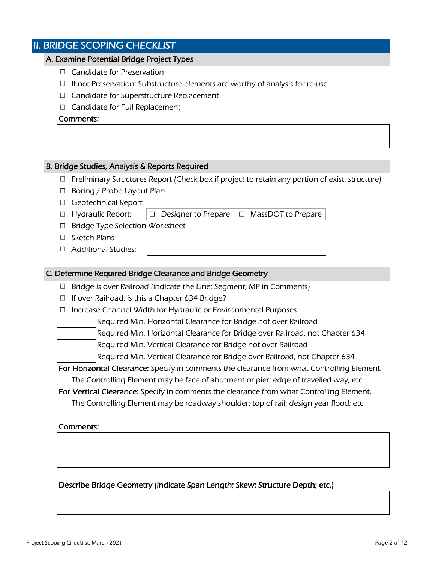## II. BRIDGE SCOPING CHECKLIST

## A. Examine Potential Bridge Project Types

- $\Box$  Candidate for Preservation
- $\Box$  If not Preservation; Substructure elements are worthy of analysis for re-use
- $\Box$  Candidate for Superstructure Replacement
- $\Box$  Candidate for Full Replacement

## Comments:

## B. Bridge Studies, Analysis & Reports Required

- $\Box$  Preliminary Structures Report (Check box if project to retain any portion of exist. structure)
- $\Box$  Boring / Probe Layout Plan
- □ Geotechnical Report
- $\Box$  Hydraulic Report:  $\Box$  Designer to Prepare  $\Box$  MassDOT to Prepare
- $\Box$  Bridge Type Selection Worksheet
- $\square$  Sketch Plans
- □ Additional Studies:

## C. Determine Required Bridge Clearance and Bridge Geometry

- $\Box$  Bridge is over Railroad (indicate the Line; Segment; MP in Comments)
- $\Box$  If over Railroad, is this a Chapter 634 Bridge?
- $\Box$  Increase Channel Width for Hydraulic or Environmental Purposes
	- Required Min. Horizontal Clearance for Bridge not over Railroad
- Required Min. Horizontal Clearance for Bridge over Railroad, not Chapter 634
- Required Min. Vertical Clearance for Bridge not over Railroad
	- Required Min. Vertical Clearance for Bridge over Railroad, not Chapter 634

For Horizontal Clearance: Specify in comments the clearance from what Controlling Element.

The Controlling Element may be face of abutment or pier; edge of travelled way, etc.

For Vertical Clearance: Specify in comments the clearance from what Controlling Element. The Controlling Element may be roadway shoulder; top of rail; design year flood; etc.

## Comments:

Describe Bridge Geometry (indicate Span Length; Skew: Structure Depth; etc.)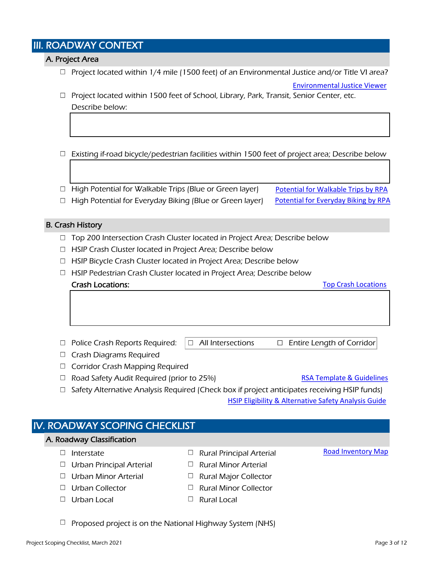## III. ROADWAY CONTEXT

## A. Project Area

- $\Box$  Project located within 1/4 mile (1500 feet) of an Environmental Justice and/or Title VI area?
- $\Box$  Project located within 1500 feet of School, Library, Park, Transit, Senior Center, etc. Describe below:

## $\Box$  Existing if-road bicycle/pedestrian facilities within 1500 feet of project area; Describe below

- $\Box$  High Potential for Walkable Trips (Blue or Green layer) [Potential for Walkable Trips by RPA](https://massdot.maps.arcgis.com/apps/webappviewer/index.html?id=abab2e8c3da446a5ae4b675cd35b5f4f)
- $\Box$  High Potential for Everyday Biking (Blue or Green layer)
- B. Crash History
	- $\Box$  Top 200 Intersection Crash Cluster located in Project Area; Describe below
	- $\Box$  HSIP Crash Cluster located in Project Area; Describe below
	- $\Box$  HSIP Bicycle Crash Cluster located in Project Area; Describe below
	- $\Box$  HSIP Pedestrian Crash Cluster located in Project Area; Describe below

Crash Locations:

[Top Crash Locations](https://gis.massdot.state.ma.us/topcrashlocations/)

[Environmental](http://maps.massgis.state.ma.us/map_ol/ej.php) Justice Viewer

[Potential for Everyday Biking by RPA](https://massdot.maps.arcgis.com/apps/webappviewer/index.html?id=371274be470c4f9db0543943398eb3d3)

- $\Box$  Police Crash Reports Required:  $|\Box$  All Intersections  $\Box$  Entire Length of Corridor
	-

- $\Box$  Crash Diagrams Required
- □ Corridor Crash Mapping Required
- $\Box$  Road Safety Audit Required (prior to 25%)
- [RSA Template](https://www.mass.gov/service-details/road-safety-audits) & Guidelines
- $\Box$  Safety Alternative Analysis Required (Check box if project anticipates receiving HSIP funds) HSIP Eligibility [& Alternative Safety Analysis Guide](https://www.mass.gov/service-details/highway-safety-improvement-program)

## $\Box$  Interstate  $\Box$  Rural Principal Arterial  $\Box$  Urban Principal Arterial  $\Box$  Rural Minor Arterial  $\Box$  Urban Minor Arterial  $\Box$  Rural Major Collector  $\Box$  Urban Collector  $\Box$  Rural Minor Collector  $\Box$  Urban Local  $\Box$  Rural Local IV. ROADWAY SCOPING CHECKLIST A. Roadway Classification [Road Inventory](https://gis.massdot.state.ma.us/roadinventory/) Map

 $\Box$  Proposed project is on the National Highway System (NHS)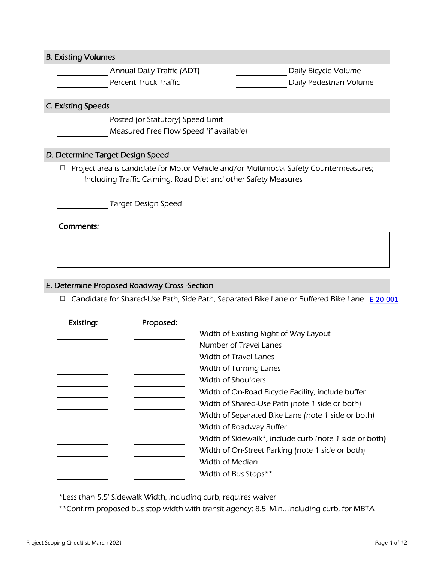B. Existing Volumes

Annual Daily Traffic (ADT) Daily Bicycle Volume Percent Truck Traffic **Daily Pedestrian Volume** 

## C. Existing Speeds

Posted (or Statutory) Speed Limit

Measured Free Flow Speed (if available)

## D. Determine Target Design Speed

 $\Box$  Project area is candidate for Motor Vehicle and/or Multimodal Safety Countermeasures; Including Traffic Calming, Road Diet and other Safety Measures

Target Design Speed

## Comments:

## E. Determine Proposed Roadway Cross -Section

Candidate for Shared-Use Path, Side Path, Separated Bike Lane or Buffered Bike Lane [E-20-001](https://www.mass.gov/info-details/massdot-highway-engineering-directives)

| Existing: | Proposed: |                                                        |
|-----------|-----------|--------------------------------------------------------|
|           |           | Width of Existing Right-of-Way Layout                  |
|           |           | Number of Travel Lanes                                 |
|           |           | Width of Travel Lanes                                  |
|           |           | Width of Turning Lanes                                 |
|           |           | Width of Shoulders                                     |
|           |           | Width of On-Road Bicycle Facility, include buffer      |
|           |           | Width of Shared-Use Path (note 1 side or both)         |
|           |           | Width of Separated Bike Lane (note 1 side or both)     |
|           |           | Width of Roadway Buffer                                |
|           |           | Width of Sidewalk*, include curb (note 1 side or both) |
|           |           | Width of On-Street Parking (note 1 side or both)       |
|           |           | Width of Median                                        |
|           |           | Width of Bus Stops**                                   |

\*Less than 5.5' Sidewalk Width, including curb, requires waiver

\*\*Confirm proposed bus stop width with transit agency; 8.5' Min., including curb, for MBTA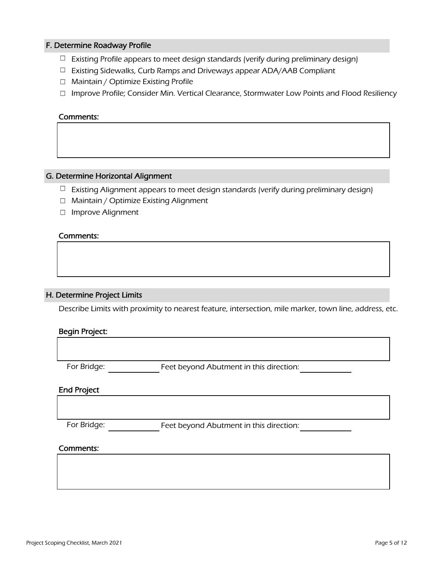## F. Determine Roadway Profile

- $\Box$  Existing Profile appears to meet design standards (verify during preliminary design)
- $\Box$  Existing Sidewalks, Curb Ramps and Driveways appear ADA/AAB Compliant
- □ Maintain / Optimize Existing Profile
- □ Improve Profile; Consider Min. Vertical Clearance, Stormwater Low Points and Flood Resiliency

## Comments:

## G. Determine Horizontal Alignment

- $\Box$  Existing Alignment appears to meet design standards (verify during preliminary design)
- □ Maintain / Optimize Existing Alignment
- □ Improve Alignment

## Comments:

## H. Determine Project Limits

Describe Limits with proximity to nearest feature, intersection, mile marker, town line, address, etc.

## Begin Project:

For Bridge: Feet beyond Abutment in this direction:

## End Project

For Bridge: Feet beyond Abutment in this direction: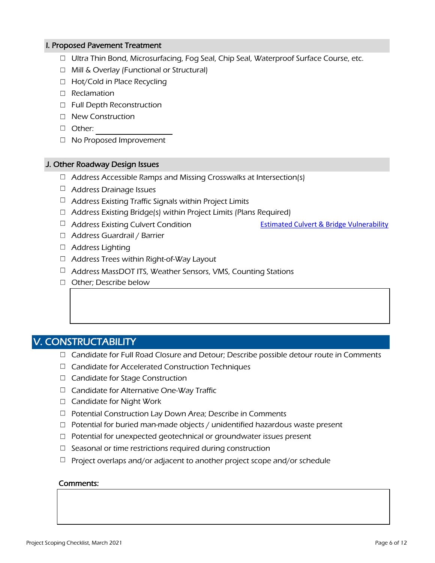## I. Proposed Pavement Treatment

- $\Box$  Ultra Thin Bond, Microsurfacing, Fog Seal, Chip Seal, Waterproof Surface Course, etc.
- □ Mill & Overlay (Functional or Structural)
- □ Hot/Cold in Place Recycling
- □ Reclamation
- □ Full Depth Reconstruction
- □ New Construction
- Other:
- □ No Proposed Improvement

## J. Other Roadway Design Issues

- $\Box$  Address Accessible Ramps and Missing Crosswalks at Intersection(s)
- $\Box$  Address Drainage Issues
- $\Box$  Address Existing Traffic Signals within Project Limits
- $\Box$  Address Existing Bridge(s) within Project Limits (Plans Required)
- $\Box$  Address Existing Culvert Condition

Estimated [Culvert & Bridge Vulnerability](https://www.arcgis.com/apps/webappviewer/index.html?id=015b900027ab465bac7cffe934dcce46)

- □ Address Guardrail / Barrier
- □ Address Lighting
- $\Box$  Address Trees within Right-of-Way Layout
- $\Box$  Address MassDOT ITS, Weather Sensors, VMS, Counting Stations
- □ Other; Describe below

## V. CONSTRUCTABILITY

- $\Box$  Candidate for Full Road Closure and Detour; Describe possible detour route in Comments
- $\Box$  Candidate for Accelerated Construction Techniques
- □ Candidate for Stage Construction
- $\Box$  Candidate for Alternative One-Way Traffic
- $\Box$  Candidate for Night Work
- $\Box$  Potential Construction Lay Down Area; Describe in Comments
- $\Box$  Potential for buried man-made objects / unidentified hazardous waste present
- $\Box$  Potential for unexpected geotechnical or groundwater issues present
- $\Box$  Seasonal or time restrictions required during construction
- $\Box$  Project overlaps and/or adjacent to another project scope and/or schedule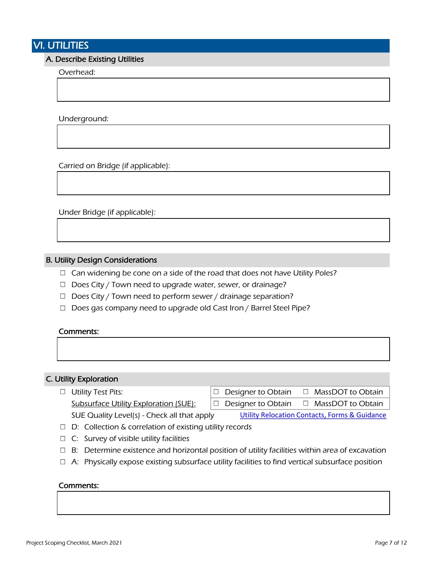## VI. UTILITIES

## A. Describe Existing Utilities

Overhead:

Underground:

Carried on Bridge (if applicable):

Under Bridge (if applicable):

## B. Utility Design Considerations

- $\Box$  Can widening be cone on a side of the road that does not have Utility Poles?
- $\Box$  Does City / Town need to upgrade water, sewer, or drainage?
- $\Box$  Does City / Town need to perform sewer / drainage separation?
- $\Box$  Does gas company need to upgrade old Cast Iron / Barrel Steel Pipe?

## Comments:

## C. Utility Exploration

- $\Box$  Utility Test Pits:  $\Box$  Designer to Obtain  $\Box$  MassDOT to Obtain Subsurface Utility Exploration (SUE):  $\Box$  Designer to Obtain  $\Box$  MassDOT to Obtain SUE Quality Level(s) - Check all that apply [Utility Relocation Contacts, Forms & Guidance](https://www.mass.gov/highway-utility-relocation)
- $\Box$  D: Collection & correlation of existing utility records
- $\Box$  C: Survey of visible utility facilities
- $\Box$  B: Determine existence and horizontal position of utility facilities within area of excavation
- $\Box$  A: Physically expose existing subsurface utility facilities to find vertical subsurface position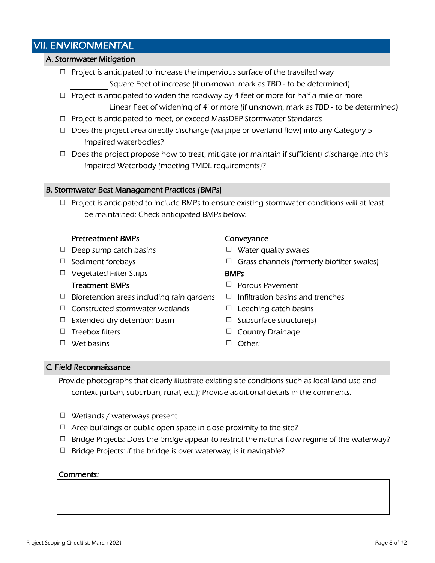## VII. ENVIRONMENTAL

## A. Stormwater Mitigation

- $\Box$  Project is anticipated to increase the impervious surface of the travelled way Square Feet of increase (if unknown, mark as TBD - to be determined)
- $\Box$  Project is anticipated to widen the roadway by 4 feet or more for half a mile or more Linear Feet of widening of 4' or more (if unknown, mark as TBD - to be determined)
- $\Box$  Project is anticipated to meet, or exceed MassDEP Stormwater Standards
- $\Box$  Does the project area directly discharge (via pipe or overland flow) into any Category 5 Impaired waterbodies?
- $\Box$  Does the project propose how to treat, mitigate (or maintain if sufficient) discharge into this Impaired Waterbody (meeting TMDL requirements)?

## B. Stormwater Best Management Practices (BMPs)

 $\Box$  Project is anticipated to include BMPs to ensure existing stormwater conditions will at least be maintained; Check anticipated BMPs below:

## Pretreatment BMPs Conveyance

- $\Box$  Deep sump catch basins  $\Box$  Water quality swales
- 
- $\Box$  Vegetated Filter Strips  $\Box$  **BMPs**

- $\Box$  Bioretention areas including rain gardens  $\Box$  Infiltration basins and trenches
- $\Box$  Constructed stormwater wetlands  $\Box$  Leaching catch basins
- $\Box$  Extended dry detention basin  $\Box$  Subsurface structure(s)
- 
- Wet basins Other:

- 
- $\Box$  Sediment forebays  $\Box$  Grass channels (formerly biofilter swales)

- **Treatment BMPs**  $\Box$  Porous Pavement
	-
	-
	-
- $\Box$  Treebox filters  $\Box$  Country Drainage
	-

## C. Field Reconnaissance

Provide photographs that clearly illustrate existing site conditions such as local land use and context (urban, suburban, rural, etc.); Provide additional details in the comments.

- $\Box$  Wetlands / waterways present
- $\Box$  Area buildings or public open space in close proximity to the site?
- $\Box$  Bridge Projects: Does the bridge appear to restrict the natural flow regime of the waterway?
- $\Box$  Bridge Projects: If the bridge is over waterway, is it navigable?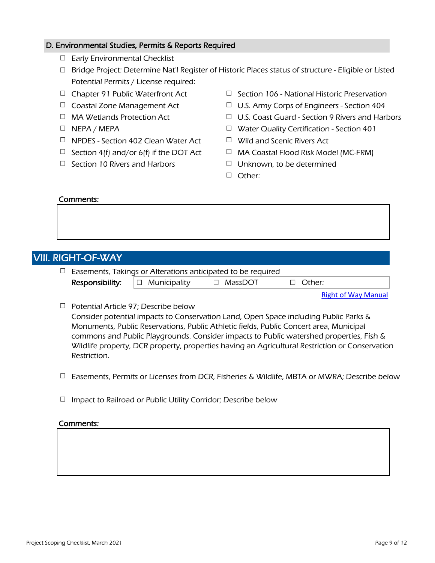## D. Environmental Studies, Permits & Reports Required

- □ Early Environmental Checklist
- □ Bridge Project: Determine Nat'l Register of Historic Places status of structure Eligible or Listed Potential Permits / License required:
- 
- 
- 
- 
- $\Box$  NPDES Section 402 Clean Water Act  $\Box$  Wild and Scenic Rivers Act
- 
- $\Box$  Section 10 Rivers and Harbors  $\Box$  Unknown, to be determined
- $\Box$  Chapter 91 Public Waterfront Act  $\Box$  Section 106 National Historic Preservation
- $\Box$  Coastal Zone Management Act  $\Box$  U.S. Army Corps of Engineers Section 404
- $\Box$  MA Wetlands Protection Act  $\Box$  U.S. Coast Guard Section 9 Rivers and Harbors
- $\Box$  NEPA / MEPA  $\Box$  Water Quality Certification Section 401
	-
- $\Box$  Section 4(f) and/or 6(f) if the DOT Act  $\Box$  MA Coastal Flood Risk Model (MC-FRM)
	-
	- □ Other:

## Comments:

|  | VIII. RIGHT-OF-WAY                                   |
|--|------------------------------------------------------|
|  | $\Box$ Exempts Takings or Alterations anticipated to |

|                                            | $\exists$ Easements, Takings or Alterations anticipated to be required |          |  |
|--------------------------------------------|------------------------------------------------------------------------|----------|--|
| <b>Responsibility:</b> $\Box$ Municipality | □ MassDOT                                                              | □ Other: |  |

Right [of Way Manual](https://www.mass.gov/service-details/right-of-way-manual)

 $\Box$  Potential Article 97; Describe below

Consider potential impacts to Conservation Land, Open Space including Public Parks & Monuments, Public Reservations, Public Athletic fields, Public Concert area, Municipal commons and Public Playgrounds. Consider impacts to Public watershed properties, Fish & Wildlife property, DCR property, properties having an Agricultural Restriction or Conservation Restriction.

- $\Box$  Easements, Permits or Licenses from DCR, Fisheries & Wildlife, MBTA or MWRA; Describe below
- $\Box$  Impact to Railroad or Public Utility Corridor; Describe below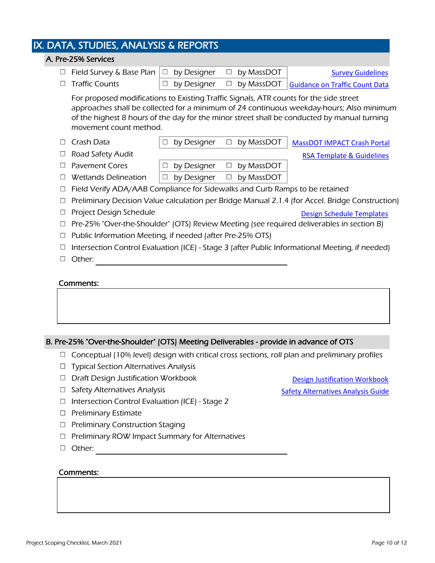## IX. DATA, STUDIES, ANALYSIS & REPORTS

## $\Box$  Field Survey & Base Plan  $|\Box$  by Designer  $\Box$  by MassDOT  $\Box$  Traffic Counts  $\Box$  by Designer  $\Box$  by MassDOT  $\Box$  Crash Data  $\Box$  by Designer  $\Box$  by MassDOT □ Road Safety Audit  $\Box$  Pavement Cores  $\Box$  by Designer  $\Box$  by MassDOT  $\Box$  Wetlands Delineation  $\Box$  by Designer  $\Box$  by MassDOT  $\Box$  Field Verify ADA/AAB Compliance for Sidewalks and Curb Ramps to be retained  $\Box$  Preliminary Decision Value calculation per Bridge Manual 2.1.4 (for Accel. Bridge Construction) □ Project Design Schedule Pre-25% "Over-the-Shoulder" (OTS) Review Meeting (see required deliverables in section B)  $\Box$  Public Information Meeting, if needed (after Pre-25% OTS)  $\Box$  Intersection Control Evaluation (ICE) - Stage 3 (after Public Informational Meeting, if needed) A. Pre-25% Services For proposed modifications to Existing Traffic Signals, ATR counts for the side street approaches shall be collected for a minimum of 24 continuous weekday-hours; Also minimum of the highest 8 hours of the day for the minor street shall be conducted by manual turning movement count method. [Survey Guidelines](https://www.mass.gov/info-details/general-survey-guidelines) Guidance [on Traffic Count Data](https://www.mass.gov/info-details/massdot-highway-engineering-directives) [MassDOT IMPACT Crash Portal](https://apps.impact.dot.state.ma.us/cdp/home) [RSA Template & Guidelines](https://www.mass.gov/service-details/road-safety-audits) Design [Schedule Templates](https://www.mass.gov/lists/massdot-typical-design-schedule-templates)

□ Other:

## Comments:

## B. Pre-25% "Over-the-Shoulder" (OTS) Meeting Deliverables - provide in advance of OTS

- $\Box$  Conceptual (10% level) design with critical cross sections, roll plan and preliminary profiles
- $\Box$  Typical Section Alternatives Analysis
- $\Box$  Draft Design Justification Workbook
- $\Box$  Safety Alternatives Analysis
- $\Box$  Intersection Control Evaluation (ICE) Stage 2
- $\Box$  Preliminary Estimate
- $\Box$  Preliminary Construction Staging
- $\Box$  Preliminary ROW Impact Summary for Alternatives
- □ Other:

## Comments:

Design [Justification Workbook](https://www.mass.gov/info-details/massdot-design-justification-reports)

[Safety Alternatives](https://www.mass.gov/doc/massdot-safety-alternatives-analysis-guide/download) Analysis Guide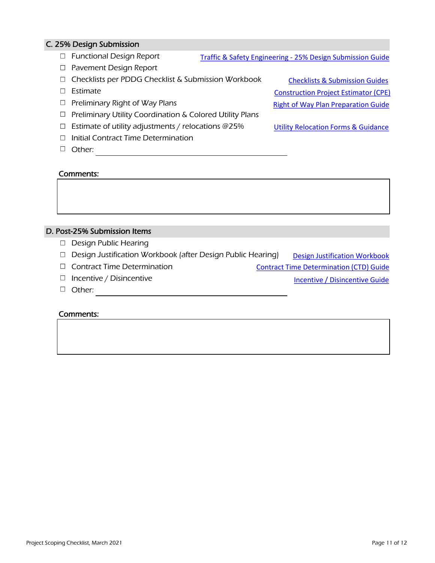## C. 25% Design Submission

- □ Functional Design Report Traffic & Safety Engineering - [25% Design Submission Guide](https://www.mass.gov/doc/25-design-traffic-submission-guidelines/download)
- □ Pavement Design Report
- □ Checklists per PDDG Checklist & Submission Workbook
- $\square$  Estimate
- $\Box$  Preliminary Right of Way Plans
- $\Box$  Preliminary Utility Coordination & Colored Utility Plans
- $\Box$  Estimate of utility adjustments / relocations @25%
- $\Box$  Initial Contract Time Determination
- Other:

## Comments:

## D. Post-25% Submission Items

- $\Box$  Design Public Hearing
- $\Box$  Design Justification Workbook (after Design Public Hearing) Design [Justification Workbook](https://www.mass.gov/info-details/massdot-design-justification-reports)
- $\Box$  Contract Time Determination
- $\Box$  Incentive / Disincentive
- $\Box$  Other:

#### Comments:

[Checklists & Submission Guides](https://www.mass.gov/lists/massdot-highway-project-development-tools) [Construction Project Estimator \(CPE\)](https://hwy.massdot.state.ma.us/CPE/) Right [of Way Plan Preparation Guide](https://www.mass.gov/doc/plan-preparation-guidelines-for-consultants-preparing-right-of-way-plans/download)

[Utility Relocation Forms & Guidance](https://www.mass.gov/highway-utility-relocation)

[Incentive / Disincentive Guide](https://www.mass.gov/lists/massdot-highway-project-controls-toolkit)

[Contract Time Determination \(CTD\) Guide](https://www.mass.gov/lists/massdot-highway-project-controls-toolkit)